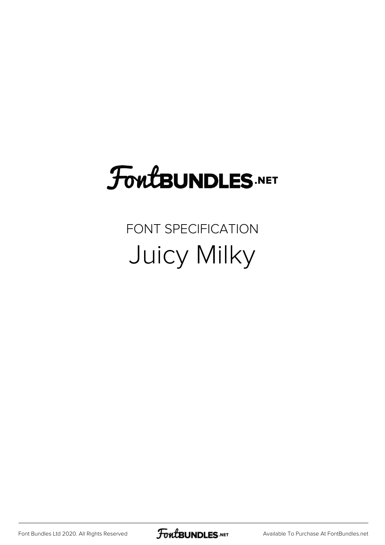# **FoutBUNDLES.NET**

#### FONT SPECIFICATION Juicy Milky

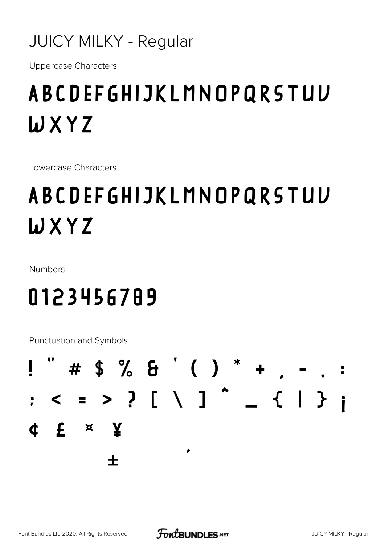#### **JUICY MILKY - Regular**

**Uppercase Characters** 

### **ABCDEFGHIJKLMNOPQRSTUV** WXYZ

Lowercase Characters

## **ABCDEFGHIJKLMNOPQRSTUV** WXYZ

Numbers

#### 0123456789

Punctuation and Symbols

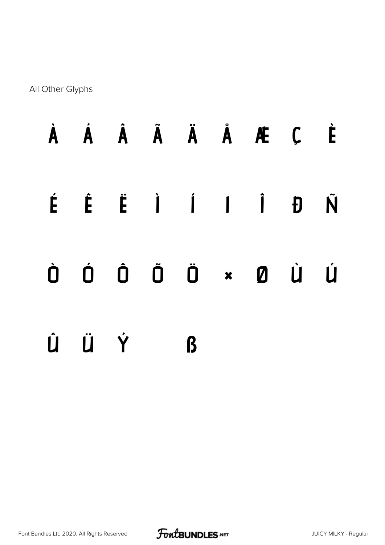All Other Glyphs

|     |              |  | À Á Â Ã Ä Å Æ Ç È                                                                                                                                                                                                                                                                                                              |  |
|-----|--------------|--|--------------------------------------------------------------------------------------------------------------------------------------------------------------------------------------------------------------------------------------------------------------------------------------------------------------------------------|--|
|     |              |  | É Ê Ë Ì Í I Î Đ Ñ                                                                                                                                                                                                                                                                                                              |  |
|     |              |  | $\begin{matrix} 1 & 0 & 0 & 0 \\ 0 & 0 & 0 & 0 \\ 0 & 0 & 0 & 0 \\ 0 & 0 & 0 & 0 \\ 0 & 0 & 0 & 0 \\ 0 & 0 & 0 & 0 \\ 0 & 0 & 0 & 0 \\ 0 & 0 & 0 & 0 \\ 0 & 0 & 0 & 0 \\ 0 & 0 & 0 & 0 \\ 0 & 0 & 0 & 0 \\ 0 & 0 & 0 & 0 & 0 \\ 0 & 0 & 0 & 0 & 0 \\ 0 & 0 & 0 & 0 & 0 \\ 0 & 0 & 0 & 0 & 0 & 0 \\ 0 & 0 & 0 & 0 & 0 & 0 \\ 0$ |  |
| ÛÜÝ | $\mathbf{B}$ |  |                                                                                                                                                                                                                                                                                                                                |  |